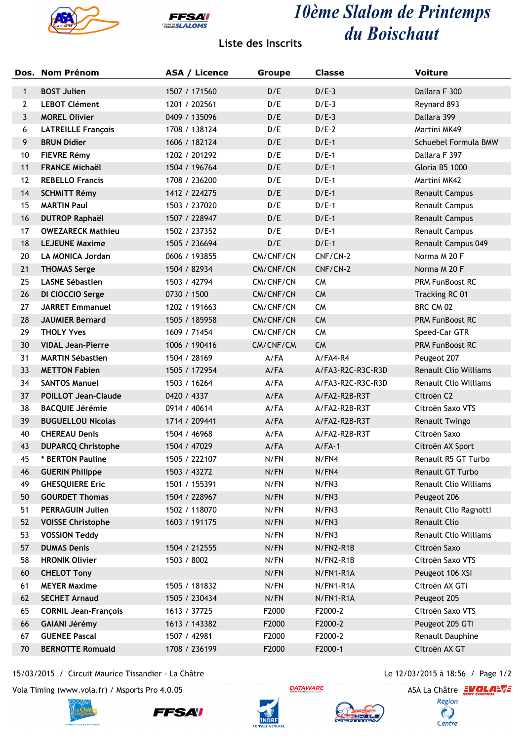



## 10ème Slalom de Printemps du Boischaut

## **Liste des Inscrits**

|              | Dos. Nom Prénom             | ASA / Licence | <b>Groupe</b> | <b>Classe</b>     | <b>Voiture</b>               |
|--------------|-----------------------------|---------------|---------------|-------------------|------------------------------|
| $\mathbf{1}$ | <b>BOST Julien</b>          | 1507 / 171560 | D/E           | $D/E-3$           | Dallara F 300                |
| $\mathbf{2}$ | <b>LEBOT Clément</b>        | 1201 / 202561 | D/E           | $D/E-3$           | Reynard 893                  |
| 3            | <b>MOREL Olivier</b>        | 0409 / 135096 | D/E           | $D/E-3$           | Dallara 399                  |
| 6            | <b>LATREILLE François</b>   | 1708 / 138124 | D/E           | $D/E-2$           | Martini MK49                 |
| 9            | <b>BRUN Didier</b>          | 1606 / 182124 | D/E           | $D/E-1$           | Schuebel Formula BMW         |
| 10           | <b>FIEVRE Rémy</b>          | 1202 / 201292 | D/E           | $D/E-1$           | Dallara F 397                |
| 11           | <b>FRANCE Michaël</b>       | 1504 / 196764 | D/E           | $D/E-1$           | Gloria B5 1000               |
| 12           | <b>REBELLO Francis</b>      | 1708 / 236200 | D/E           | $D/E-1$           | Martini MK42                 |
| 14           | <b>SCHMITT Rémy</b>         | 1412 / 224275 | D/E           | $D/E-1$           | Renault Campus               |
| 15           | <b>MARTIN Paul</b>          | 1503 / 237020 | D/E           | $D/E-1$           | Renault Campus               |
| 16           | <b>DUTROP Raphaël</b>       | 1507 / 228947 | D/E           | $D/E-1$           | Renault Campus               |
| 17           | <b>OWEZARECK Mathieu</b>    | 1502 / 237352 | D/E           | $D/E-1$           | Renault Campus               |
| 18           | <b>LEJEUNE Maxime</b>       | 1505 / 236694 | D/E           | $D/E-1$           | Renault Campus 049           |
| 20           | <b>LA MONICA Jordan</b>     | 0606 / 193855 | CM/CNF/CN     | CNF/CN-2          | Norma M 20 F                 |
| 21           | <b>THOMAS Serge</b>         | 1504 / 82934  | CM/CNF/CN     | CNF/CN-2          | Norma M 20 F                 |
| 25           | <b>LASNE Sébastien</b>      | 1503 / 42794  | CM/CNF/CN     | <b>CM</b>         | PRM FunBoost RC              |
| 26           | DI CIOCCIO Serge            | 0730 / 1500   | CM/CNF/CN     | <b>CM</b>         | Tracking RC 01               |
| 27           | <b>JARRET Emmanuel</b>      | 1202 / 191663 | CM/CNF/CN     | <b>CM</b>         | BRC CM 02                    |
| 28           | <b>JAUMIER Bernard</b>      | 1505 / 185958 | CM/CNF/CN     | <b>CM</b>         | PRM FunBoost RC              |
| 29           | <b>THOLY Yves</b>           | 1609 / 71454  | CM/CNF/CN     | <b>CM</b>         | Speed-Car GTR                |
| 30           | <b>VIDAL Jean-Pierre</b>    | 1006 / 190416 | CM/CNF/CM     | <b>CM</b>         | PRM FunBoost RC              |
| 31           | <b>MARTIN Sébastien</b>     | 1504 / 28169  | $A$ /FA       | $A/FA4-R4$        | Peugeot 207                  |
| 33           | <b>METTON Fabien</b>        | 1505 / 172954 | A/FA          | A/FA3-R2C-R3C-R3D | Renault Clio Williams        |
| 34           | <b>SANTOS Manuel</b>        | 1503 / 16264  | A/FA          | A/FA3-R2C-R3C-R3D | Renault Clio Williams        |
| 37           | <b>POILLOT Jean-Claude</b>  | 0420 / 4337   | A/FA          | A/FA2-R2B-R3T     | Citroën C2                   |
| 38           | <b>BACQUIE Jérémie</b>      | 0914 / 40614  | A/FA          | A/FA2-R2B-R3T     | Citroën Saxo VTS             |
| 39           | <b>BUGUELLOU Nicolas</b>    | 1714 / 209441 | A/FA          | A/FA2-R2B-R3T     | Renault Twingo               |
| 40           | <b>CHEREAU Denis</b>        | 1504 / 46968  | A/FA          | A/FA2-R2B-R3T     | Citroën Saxo                 |
| 43           | <b>DUPARCQ Christophe</b>   | 1504 / 47029  | A/FA          | $A/FA-1$          | Citroën AX Sport             |
| 45           | * BERTON Pauline            | 1505 / 222107 | N/FN          | N/FN4             | Renault R5 GT Turbo          |
| 46           | <b>GUERIN Philippe</b>      | 1503 / 43272  | N/FN          | N/FN4             | Renault GT Turbo             |
| 49           | <b>GHESQUIERE Eric</b>      | 1501 / 155391 | N/FN          | N/FN3             | <b>Renault Clio Williams</b> |
| 50           | <b>GOURDET Thomas</b>       | 1504 / 228967 | N/FN          | N/FN3             | Peugeot 206                  |
| 51           | <b>PERRAGUIN Julien</b>     | 1502 / 118070 | N/FN          | N/FN3             | Renault Clio Ragnotti        |
| 52           | <b>VOISSE Christophe</b>    | 1603 / 191175 | N/FN          | N/FN3             | <b>Renault Clio</b>          |
| 53           | <b>VOSSION Teddy</b>        |               | N/FN          | N/FN3             | <b>Renault Clio Williams</b> |
| 57           | <b>DUMAS Denis</b>          | 1504 / 212555 | N/FN          | N/FN2-R1B         | Citroën Saxo                 |
| 58           | <b>HRONIK Olivier</b>       | 1503 / 8002   | N/FN          | N/FN2-R1B         | Citroën Saxo VTS             |
| 60           | <b>CHELOT Tony</b>          |               | N/FN          | N/FN1-R1A         | Peugeot 106 XSi              |
| 61           | <b>MEYER Maxime</b>         | 1505 / 181832 | N/FN          | N/FN1-R1A         | Citroën AX GTi               |
| 62           | <b>SECHET Arnaud</b>        | 1505 / 230434 | N/FN          | N/FN1-R1A         | Peugeot 205                  |
| 65           | <b>CORNIL Jean-François</b> | 1613 / 37725  | F2000         | F2000-2           | Citroën Saxo VTS             |
| 66           | <b>GAIANI Jérémy</b>        | 1613 / 143382 | F2000         | F2000-2           | Peugeot 205 GTi              |
| 67           | <b>GUENEE Pascal</b>        | 1507 / 42981  | F2000         | F2000-2           | Renault Dauphine             |
| 70           | <b>BERNOTTE Romuald</b>     | 1708 / 236199 | F2000         | F2000-1           | Citroën AX GT                |

15/03/2015 / Circuit Maurice Tissandier - La Châtre Le 12/03/2015 à 18:56 / Page 1/2

Vola Timing (www.vola.fr) / Msports Pro 4.0.05 **ASA LA CHANGE ASA La Châtre** ASA La Châtre **EVOLA-VE** 









 $\bigcirc$  Centre

Région